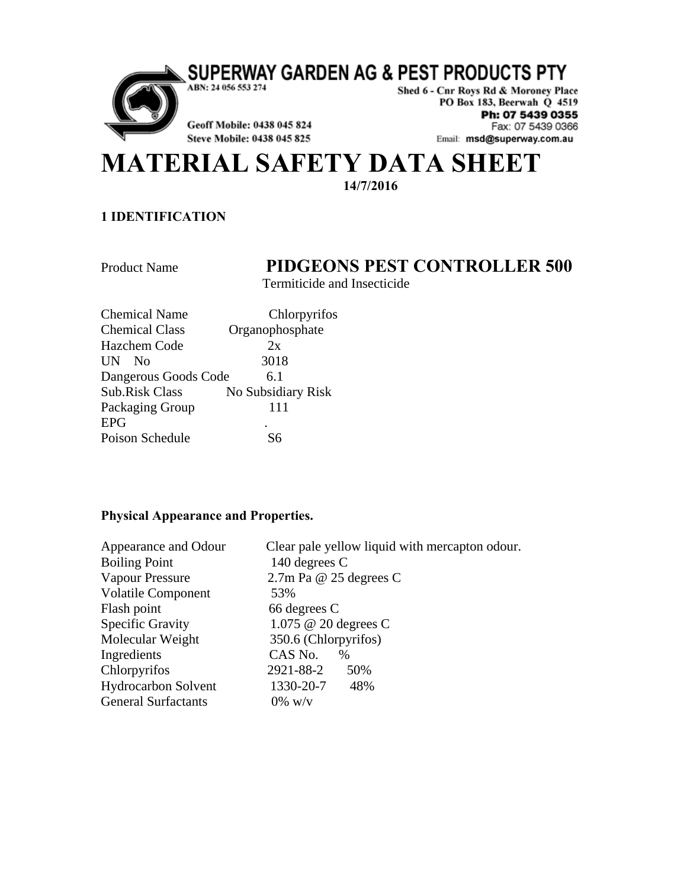SUPERWAY GARDEN AG & PEST PRODUCTS PTY



ABN: 24 056 553 274

Geoff Mobile: 0438 045 824

Shed 6 - Cnr Roys Rd & Moroney Place PO Box 183, Beerwah Q 4519 Ph: 07 5439 0355 Fax: 07 5439 0366 Email: msd@superway.com.au

# Steve Mobile: 0438 045 825 **MATERIAL SAFETY DATA SHEET**

**14/7/2016**

#### **1 IDENTIFICATION**

## Product Name **PIDGEONS PEST CONTROLLER 500**

Termiticide and Insecticide

| <b>Chemical Name</b>  | Chlorpyrifos       |
|-----------------------|--------------------|
| <b>Chemical Class</b> | Organophosphate    |
| Hazchem Code          | 2x                 |
| UN<br>No.             | 3018               |
| Dangerous Goods Code  | 6.1                |
| <b>Sub.Risk Class</b> | No Subsidiary Risk |
| Packaging Group       | 111                |
| <b>EPG</b>            |                    |
| Poison Schedule       | 86                 |

#### **Physical Appearance and Properties.**

| Appearance and Odour       | Clear pale yellow liquid with mercapton odour. |
|----------------------------|------------------------------------------------|
| <b>Boiling Point</b>       | 140 degrees C                                  |
| Vapour Pressure            | $2.7$ m Pa @ 25 degrees C                      |
| <b>Volatile Component</b>  | 53%                                            |
| Flash point                | 66 degrees C                                   |
| <b>Specific Gravity</b>    | 1.075 @ 20 degrees C                           |
| Molecular Weight           | 350.6 (Chlorpyrifos)                           |
| Ingredients                | CAS No.<br>$\%$                                |
| Chlorpyrifos               | 2921-88-2<br>50%                               |
| <b>Hydrocarbon Solvent</b> | 1330-20-7<br>48%                               |
| <b>General Surfactants</b> | $0\%$ w/v                                      |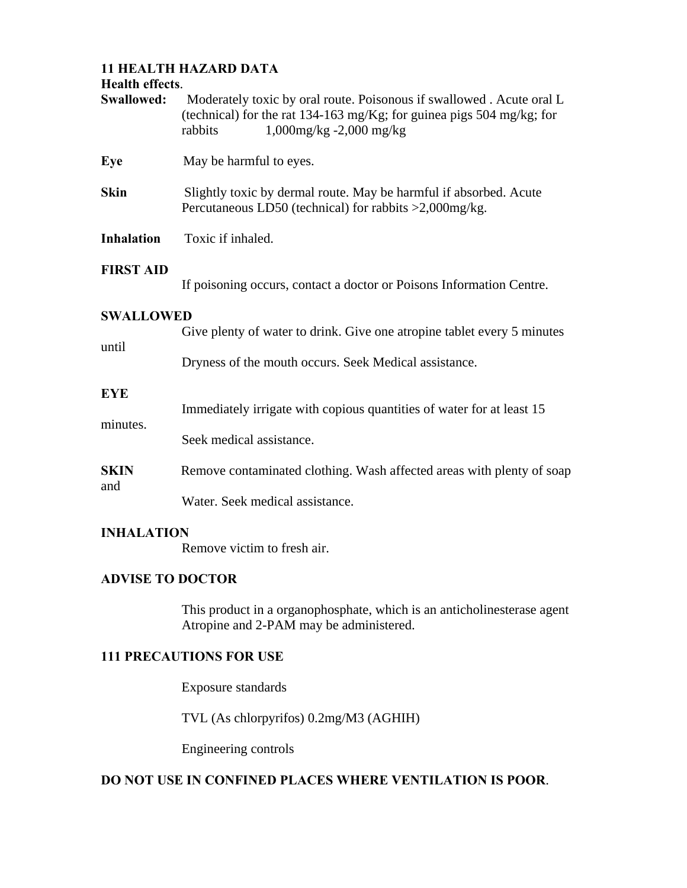## **11 HEALTH HAZARD DATA**

#### **Health effects**.

| Swallowed:        | Moderately toxic by oral route. Poisonous if swallowed. Acute oral L<br>(technical) for the rat 134-163 mg/Kg; for guinea pigs 504 mg/kg; for<br>$1,000$ mg/kg -2,000 mg/kg<br>rabbits |  |
|-------------------|----------------------------------------------------------------------------------------------------------------------------------------------------------------------------------------|--|
| Eye               | May be harmful to eyes.                                                                                                                                                                |  |
| <b>Skin</b>       | Slightly toxic by dermal route. May be harmful if absorbed. Acute<br>Percutaneous LD50 (technical) for rabbits >2,000mg/kg.                                                            |  |
| <b>Inhalation</b> | Toxic if inhaled.                                                                                                                                                                      |  |
| <b>FIRST AID</b>  | If poisoning occurs, contact a doctor or Poisons Information Centre.                                                                                                                   |  |
| <b>SWALLOWED</b>  |                                                                                                                                                                                        |  |
| until             | Give plenty of water to drink. Give one atropine tablet every 5 minutes<br>Dryness of the mouth occurs. Seek Medical assistance.                                                       |  |
| <b>EYE</b>        |                                                                                                                                                                                        |  |
| minutes.          | Immediately irrigate with copious quantities of water for at least 15<br>Seek medical assistance.                                                                                      |  |
| <b>SKIN</b>       | Remove contaminated clothing. Wash affected areas with plenty of soap                                                                                                                  |  |
| and               | Water. Seek medical assistance.                                                                                                                                                        |  |

## **INHALATION**

Remove victim to fresh air.

#### **ADVISE TO DOCTOR**

 This product in a organophosphate, which is an anticholinesterase agent Atropine and 2-PAM may be administered.

## **111 PRECAUTIONS FOR USE**

Exposure standards

TVL (As chlorpyrifos) 0.2mg/M3 (AGHIH)

Engineering controls

#### **DO NOT USE IN CONFINED PLACES WHERE VENTILATION IS POOR**.